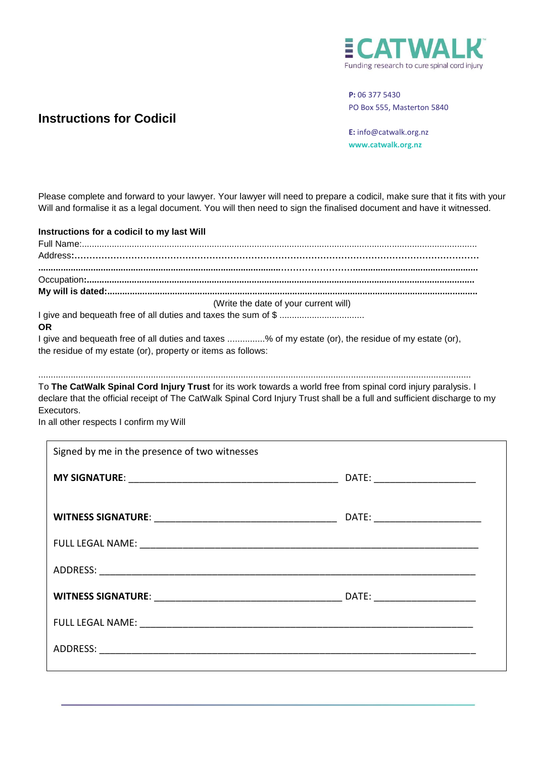

## **P:** 06 377 5430 PO Box 555, Masterton 5840

**Instructions for Codicil**

**E:** info@catwalk.org.nz **www.catwalk.org.nz**

Please complete and forward to your lawyer. Your lawyer will need to prepare a codicil, make sure that it fits with your Will and formalise it as a legal document. You will then need to sign the finalised document and have it witnessed.

**Instructions for a codicil to my last Will** Full Name:.............................................................................................................................................................. Address**:……………………………………………………………………………………………………………………… .................................................................................................……………………..................................................** Occupation**:........................................................................................................................................................... My will is dated:....................................................................................................................................................** (Write the date of your current will) I give and bequeath free of all duties and taxes the sum of \$ .................................. **OR** I give and bequeath free of all duties and taxes ...............% of my estate (or), the residue of my estate (or), the residue of my estate (or), property or items as follows:

............................................................................................................................................................................. To **The CatWalk Spinal Cord Injury Trust** for its work towards a world free from spinal cord injury paralysis. I

declare that the official receipt of The CatWalk Spinal Cord Injury Trust shall be a full and sufficient discharge to my Executors.

In all other respects I confirm my Will

| DATE: ________________________   |
|----------------------------------|
|                                  |
| DATE: __________________________ |
|                                  |
|                                  |
|                                  |
|                                  |
|                                  |
|                                  |